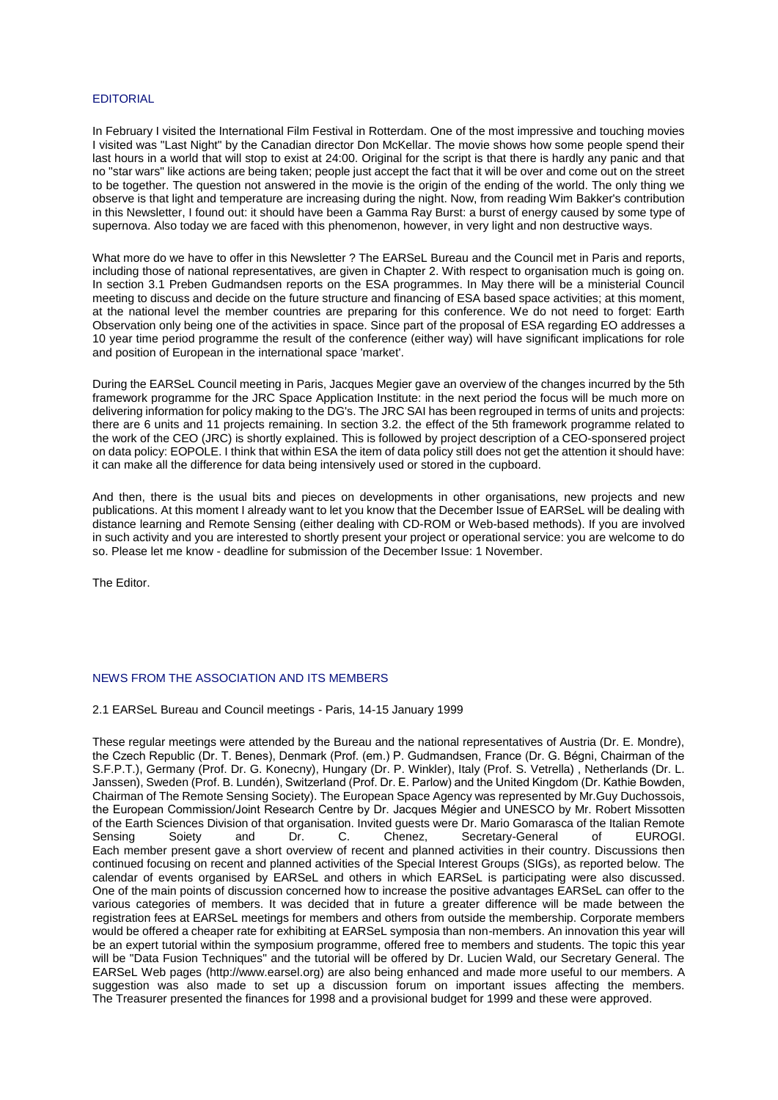## EDITORIAL

In February I visited the International Film Festival in Rotterdam. One of the most impressive and touching movies I visited was "Last Night" by the Canadian director Don McKellar. The movie shows how some people spend their last hours in a world that will stop to exist at 24:00. Original for the script is that there is hardly any panic and that no "star wars" like actions are being taken; people just accept the fact that it will be over and come out on the street to be together. The question not answered in the movie is the origin of the ending of the world. The only thing we observe is that light and temperature are increasing during the night. Now, from reading Wim Bakker's contribution in this Newsletter, I found out: it should have been a Gamma Ray Burst: a burst of energy caused by some type of supernova. Also today we are faced with this phenomenon, however, in very light and non destructive ways.

What more do we have to offer in this Newsletter ? The EARSeL Bureau and the Council met in Paris and reports. including those of national representatives, are given in Chapter 2. With respect to organisation much is going on. In section 3.1 Preben Gudmandsen reports on the ESA programmes. In May there will be a ministerial Council meeting to discuss and decide on the future structure and financing of ESA based space activities; at this moment, at the national level the member countries are preparing for this conference. We do not need to forget: Earth Observation only being one of the activities in space. Since part of the proposal of ESA regarding EO addresses a 10 year time period programme the result of the conference (either way) will have significant implications for role and position of European in the international space 'market'.

During the EARSeL Council meeting in Paris, Jacques Megier gave an overview of the changes incurred by the 5th framework programme for the JRC Space Application Institute: in the next period the focus will be much more on delivering information for policy making to the DG's. The JRC SAI has been regrouped in terms of units and projects: there are 6 units and 11 projects remaining. In section 3.2. the effect of the 5th framework programme related to the work of the CEO (JRC) is shortly explained. This is followed by project description of a CEO-sponsered project on data policy: EOPOLE. I think that within ESA the item of data policy still does not get the attention it should have: it can make all the difference for data being intensively used or stored in the cupboard.

And then, there is the usual bits and pieces on developments in other organisations, new projects and new publications. At this moment I already want to let you know that the December Issue of EARSeL will be dealing with distance learning and Remote Sensing (either dealing with CD-ROM or Web-based methods). If you are involved in such activity and you are interested to shortly present your project or operational service: you are welcome to do so. Please let me know - deadline for submission of the December Issue: 1 November.

The Editor.

# NEWS FROM THE ASSOCIATION AND ITS MEMBERS

## 2.1 EARSeL Bureau and Council meetings - Paris, 14-15 January 1999

These regular meetings were attended by the Bureau and the national representatives of Austria (Dr. E. Mondre), the Czech Republic (Dr. T. Benes), Denmark (Prof. (em.) P. Gudmandsen, France (Dr. G. Bégni, Chairman of the S.F.P.T.), Germany (Prof. Dr. G. Konecny), Hungary (Dr. P. Winkler), Italy (Prof. S. Vetrella) , Netherlands (Dr. L. Janssen), Sweden (Prof. B. Lundén), Switzerland (Prof. Dr. E. Parlow) and the United Kingdom (Dr. Kathie Bowden, Chairman of The Remote Sensing Society). The European Space Agency was represented by Mr.Guy Duchossois, the European Commission/Joint Research Centre by Dr. Jacques Mégier and UNESCO by Mr. Robert Missotten of the Earth Sciences Division of that organisation. Invited guests were Dr. Mario Gomarasca of the Italian Remote<br>Sensing Soiety and Dr. C. Chenez, Secretary-General of EUROGI. Dr. C. Chenez, Secretary-General of Each member present gave a short overview of recent and planned activities in their country. Discussions then continued focusing on recent and planned activities of the Special Interest Groups (SIGs), as reported below. The calendar of events organised by EARSeL and others in which EARSeL is participating were also discussed. One of the main points of discussion concerned how to increase the positive advantages EARSeL can offer to the various categories of members. It was decided that in future a greater difference will be made between the registration fees at EARSeL meetings for members and others from outside the membership. Corporate members would be offered a cheaper rate for exhibiting at EARSeL symposia than non-members. An innovation this year will be an expert tutorial within the symposium programme, offered free to members and students. The topic this year will be "Data Fusion Techniques" and the tutorial will be offered by Dr. Lucien Wald, our Secretary General. The EARSeL Web pages (http://www.earsel.org) are also being enhanced and made more useful to our members. A suggestion was also made to set up a discussion forum on important issues affecting the members. The Treasurer presented the finances for 1998 and a provisional budget for 1999 and these were approved.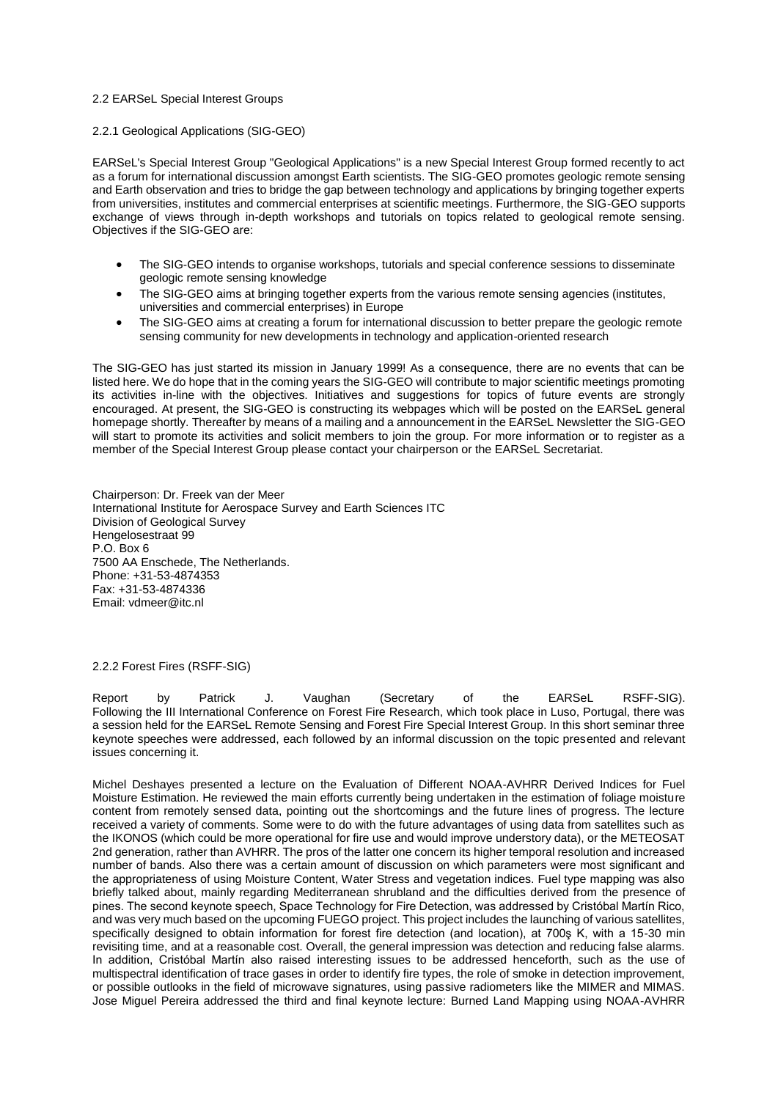## 2.2 EARSeL Special Interest Groups

### 2.2.1 Geological Applications (SIG-GEO)

EARSeL's Special Interest Group "Geological Applications" is a new Special Interest Group formed recently to act as a forum for international discussion amongst Earth scientists. The SIG-GEO promotes geologic remote sensing and Earth observation and tries to bridge the gap between technology and applications by bringing together experts from universities, institutes and commercial enterprises at scientific meetings. Furthermore, the SIG-GEO supports exchange of views through in-depth workshops and tutorials on topics related to geological remote sensing. Objectives if the SIG-GEO are:

- The SIG-GEO intends to organise workshops, tutorials and special conference sessions to disseminate geologic remote sensing knowledge
- The SIG-GEO aims at bringing together experts from the various remote sensing agencies (institutes, universities and commercial enterprises) in Europe
- The SIG-GEO aims at creating a forum for international discussion to better prepare the geologic remote sensing community for new developments in technology and application-oriented research

The SIG-GEO has just started its mission in January 1999! As a consequence, there are no events that can be listed here. We do hope that in the coming years the SIG-GEO will contribute to major scientific meetings promoting its activities in-line with the objectives. Initiatives and suggestions for topics of future events are strongly encouraged. At present, the SIG-GEO is constructing its webpages which will be posted on the EARSeL general homepage shortly. Thereafter by means of a mailing and a announcement in the EARSeL Newsletter the SIG-GEO will start to promote its activities and solicit members to join the group. For more information or to register as a member of the Special Interest Group please contact your chairperson or the EARSeL Secretariat.

Chairperson: Dr. Freek van der Meer International Institute for Aerospace Survey and Earth Sciences ITC Division of Geological Survey Hengelosestraat 99 P.O. Box 6 7500 AA Enschede, The Netherlands. Phone: +31-53-4874353 Fax: +31-53-4874336 Email: vdmeer@itc.nl

## 2.2.2 Forest Fires (RSFF-SIG)

Report by Patrick J. Vaughan (Secretary of the EARSeL RSFF-SIG). Following the III International Conference on Forest Fire Research, which took place in Luso, Portugal, there was a session held for the EARSeL Remote Sensing and Forest Fire Special Interest Group. In this short seminar three keynote speeches were addressed, each followed by an informal discussion on the topic presented and relevant issues concerning it.

Michel Deshayes presented a lecture on the Evaluation of Different NOAA-AVHRR Derived Indices for Fuel Moisture Estimation. He reviewed the main efforts currently being undertaken in the estimation of foliage moisture content from remotely sensed data, pointing out the shortcomings and the future lines of progress. The lecture received a variety of comments. Some were to do with the future advantages of using data from satellites such as the IKONOS (which could be more operational for fire use and would improve understory data), or the METEOSAT 2nd generation, rather than AVHRR. The pros of the latter one concern its higher temporal resolution and increased number of bands. Also there was a certain amount of discussion on which parameters were most significant and the appropriateness of using Moisture Content, Water Stress and vegetation indices. Fuel type mapping was also briefly talked about, mainly regarding Mediterranean shrubland and the difficulties derived from the presence of pines. The second keynote speech, Space Technology for Fire Detection, was addressed by Cristóbal Martín Rico, and was very much based on the upcoming FUEGO project. This project includes the launching of various satellites, specifically designed to obtain information for forest fire detection (and location), at 700s K, with a 15-30 min revisiting time, and at a reasonable cost. Overall, the general impression was detection and reducing false alarms. In addition, Cristóbal Martín also raised interesting issues to be addressed henceforth, such as the use of multispectral identification of trace gases in order to identify fire types, the role of smoke in detection improvement, or possible outlooks in the field of microwave signatures, using passive radiometers like the MIMER and MIMAS. Jose Miguel Pereira addressed the third and final keynote lecture: Burned Land Mapping using NOAA-AVHRR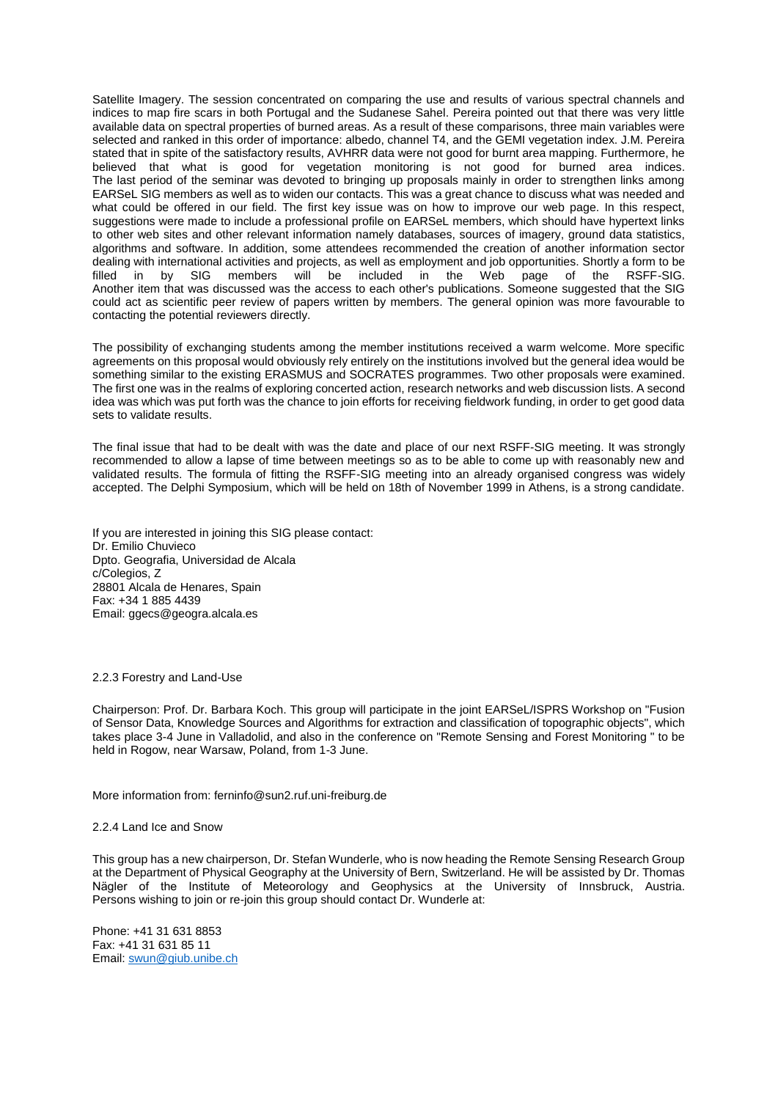Satellite Imagery. The session concentrated on comparing the use and results of various spectral channels and indices to map fire scars in both Portugal and the Sudanese Sahel. Pereira pointed out that there was very little available data on spectral properties of burned areas. As a result of these comparisons, three main variables were selected and ranked in this order of importance: albedo, channel T4, and the GEMI vegetation index. J.M. Pereira stated that in spite of the satisfactory results, AVHRR data were not good for burnt area mapping. Furthermore, he believed that what is good for vegetation monitoring is not good for burned area indices. The last period of the seminar was devoted to bringing up proposals mainly in order to strengthen links among EARSeL SIG members as well as to widen our contacts. This was a great chance to discuss what was needed and what could be offered in our field. The first key issue was on how to improve our web page. In this respect, suggestions were made to include a professional profile on EARSeL members, which should have hypertext links to other web sites and other relevant information namely databases, sources of imagery, ground data statistics, algorithms and software. In addition, some attendees recommended the creation of another information sector dealing with international activities and projects, as well as employment and job opportunities. Shortly a form to be filled in by SIG members will be included in the Web page of the RSFF-SIG. members will be included in the Web page of the RSFF-SIG. Another item that was discussed was the access to each other's publications. Someone suggested that the SIG could act as scientific peer review of papers written by members. The general opinion was more favourable to contacting the potential reviewers directly.

The possibility of exchanging students among the member institutions received a warm welcome. More specific agreements on this proposal would obviously rely entirely on the institutions involved but the general idea would be something similar to the existing ERASMUS and SOCRATES programmes. Two other proposals were examined. The first one was in the realms of exploring concerted action, research networks and web discussion lists. A second idea was which was put forth was the chance to join efforts for receiving fieldwork funding, in order to get good data sets to validate results.

The final issue that had to be dealt with was the date and place of our next RSFF-SIG meeting. It was strongly recommended to allow a lapse of time between meetings so as to be able to come up with reasonably new and validated results. The formula of fitting the RSFF-SIG meeting into an already organised congress was widely accepted. The Delphi Symposium, which will be held on 18th of November 1999 in Athens, is a strong candidate.

If you are interested in joining this SIG please contact: Dr. Emilio Chuvieco Dpto. Geografia, Universidad de Alcala c/Colegios, Z 28801 Alcala de Henares, Spain Fax: +34 1 885 4439 Email: ggecs@geogra.alcala.es

#### 2.2.3 Forestry and Land-Use

Chairperson: Prof. Dr. Barbara Koch. This group will participate in the joint EARSeL/ISPRS Workshop on "Fusion of Sensor Data, Knowledge Sources and Algorithms for extraction and classification of topographic objects", which takes place 3-4 June in Valladolid, and also in the conference on "Remote Sensing and Forest Monitoring " to be held in Rogow, near Warsaw, Poland, from 1-3 June.

## More information from: ferninfo@sun2.ruf.uni-freiburg.de

## 2.2.4 Land Ice and Snow

This group has a new chairperson, Dr. Stefan Wunderle, who is now heading the Remote Sensing Research Group at the Department of Physical Geography at the University of Bern, Switzerland. He will be assisted by Dr. Thomas Nägler of the Institute of Meteorology and Geophysics at the University of Innsbruck, Austria. Persons wishing to join or re-join this group should contact Dr. Wunderle at:

Phone: +41 31 631 8853 Fax: +41 31 631 85 11 Email: [swun@giub.unibe.ch](mailto:swun@giub.unibe.ch)